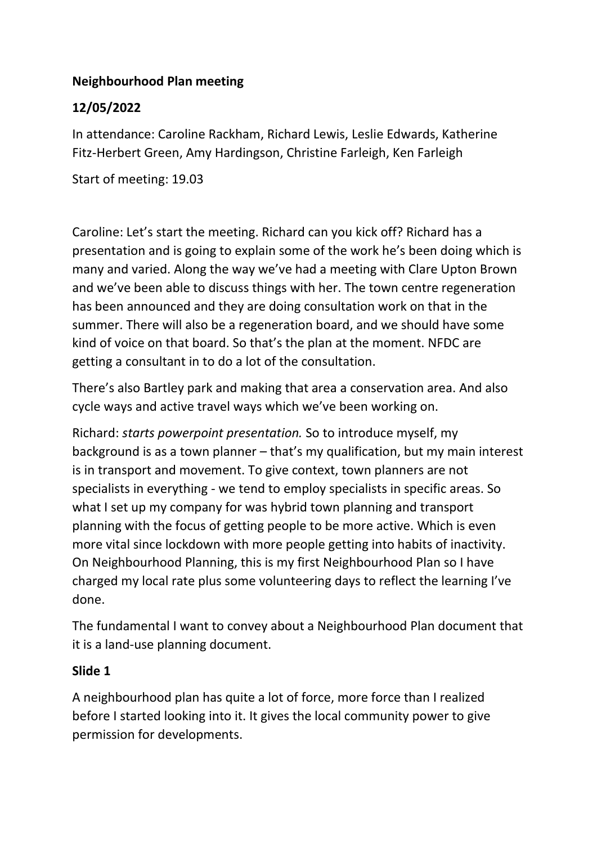### **Neighbourhood Plan meeting**

## **12/05/2022**

In attendance: Caroline Rackham, Richard Lewis, Leslie Edwards, Katherine Fitz-Herbert Green, Amy Hardingson, Christine Farleigh, Ken Farleigh

Start of meeting: 19.03

Caroline: Let's start the meeting. Richard can you kick off? Richard has a presentation and is going to explain some of the work he's been doing which is many and varied. Along the way we've had a meeting with Clare Upton Brown and we've been able to discuss things with her. The town centre regeneration has been announced and they are doing consultation work on that in the summer. There will also be a regeneration board, and we should have some kind of voice on that board. So that's the plan at the moment. NFDC are getting a consultant in to do a lot of the consultation.

There's also Bartley park and making that area a conservation area. And also cycle ways and active travel ways which we've been working on.

Richard: *starts powerpoint presentation.* So to introduce myself, my background is as a town planner – that's my qualification, but my main interest is in transport and movement. To give context, town planners are not specialists in everything - we tend to employ specialists in specific areas. So what I set up my company for was hybrid town planning and transport planning with the focus of getting people to be more active. Which is even more vital since lockdown with more people getting into habits of inactivity. On Neighbourhood Planning, this is my first Neighbourhood Plan so I have charged my local rate plus some volunteering days to reflect the learning I've done.

The fundamental I want to convey about a Neighbourhood Plan document that it is a land-use planning document.

#### **Slide 1**

A neighbourhood plan has quite a lot of force, more force than I realized before I started looking into it. It gives the local community power to give permission for developments.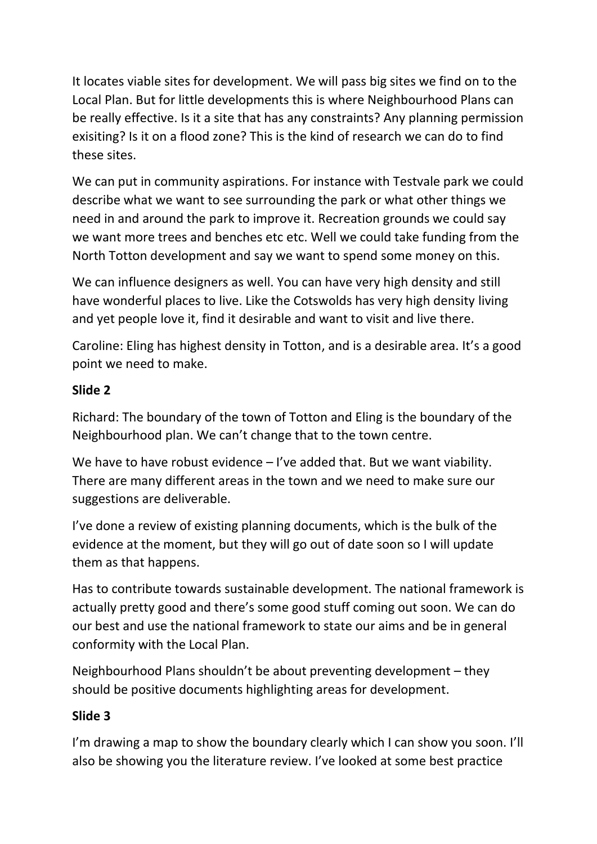It locates viable sites for development. We will pass big sites we find on to the Local Plan. But for little developments this is where Neighbourhood Plans can be really effective. Is it a site that has any constraints? Any planning permission exisiting? Is it on a flood zone? This is the kind of research we can do to find these sites.

We can put in community aspirations. For instance with Testvale park we could describe what we want to see surrounding the park or what other things we need in and around the park to improve it. Recreation grounds we could say we want more trees and benches etc etc. Well we could take funding from the North Totton development and say we want to spend some money on this.

We can influence designers as well. You can have very high density and still have wonderful places to live. Like the Cotswolds has very high density living and yet people love it, find it desirable and want to visit and live there.

Caroline: Eling has highest density in Totton, and is a desirable area. It's a good point we need to make.

## **Slide 2**

Richard: The boundary of the town of Totton and Eling is the boundary of the Neighbourhood plan. We can't change that to the town centre.

We have to have robust evidence – I've added that. But we want viability. There are many different areas in the town and we need to make sure our suggestions are deliverable.

I've done a review of existing planning documents, which is the bulk of the evidence at the moment, but they will go out of date soon so I will update them as that happens.

Has to contribute towards sustainable development. The national framework is actually pretty good and there's some good stuff coming out soon. We can do our best and use the national framework to state our aims and be in general conformity with the Local Plan.

Neighbourhood Plans shouldn't be about preventing development – they should be positive documents highlighting areas for development.

### **Slide 3**

I'm drawing a map to show the boundary clearly which I can show you soon. I'll also be showing you the literature review. I've looked at some best practice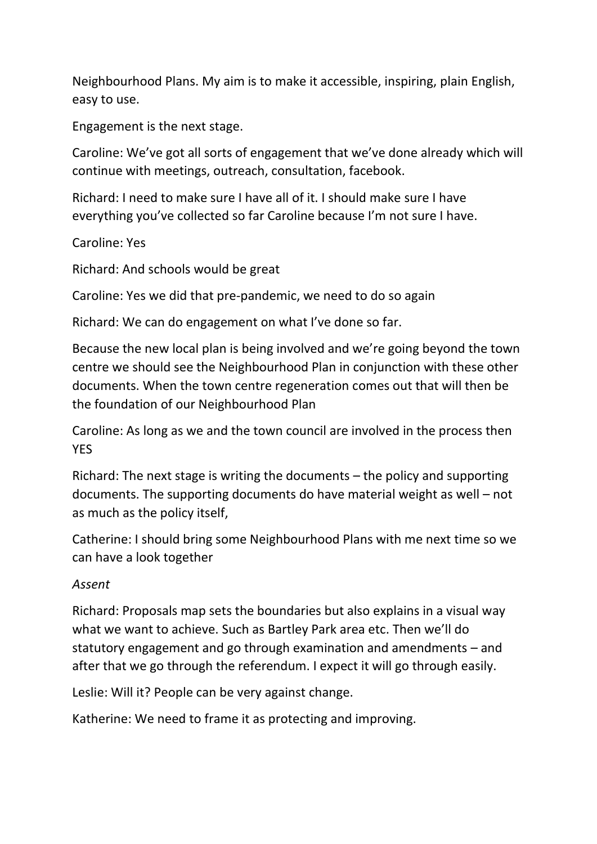Neighbourhood Plans. My aim is to make it accessible, inspiring, plain English, easy to use.

Engagement is the next stage.

Caroline: We've got all sorts of engagement that we've done already which will continue with meetings, outreach, consultation, facebook.

Richard: I need to make sure I have all of it. I should make sure I have everything you've collected so far Caroline because I'm not sure I have.

Caroline: Yes

Richard: And schools would be great

Caroline: Yes we did that pre-pandemic, we need to do so again

Richard: We can do engagement on what I've done so far.

Because the new local plan is being involved and we're going beyond the town centre we should see the Neighbourhood Plan in conjunction with these other documents. When the town centre regeneration comes out that will then be the foundation of our Neighbourhood Plan

Caroline: As long as we and the town council are involved in the process then YES

Richard: The next stage is writing the documents – the policy and supporting documents. The supporting documents do have material weight as well – not as much as the policy itself,

Catherine: I should bring some Neighbourhood Plans with me next time so we can have a look together

#### *Assent*

Richard: Proposals map sets the boundaries but also explains in a visual way what we want to achieve. Such as Bartley Park area etc. Then we'll do statutory engagement and go through examination and amendments – and after that we go through the referendum. I expect it will go through easily.

Leslie: Will it? People can be very against change.

Katherine: We need to frame it as protecting and improving.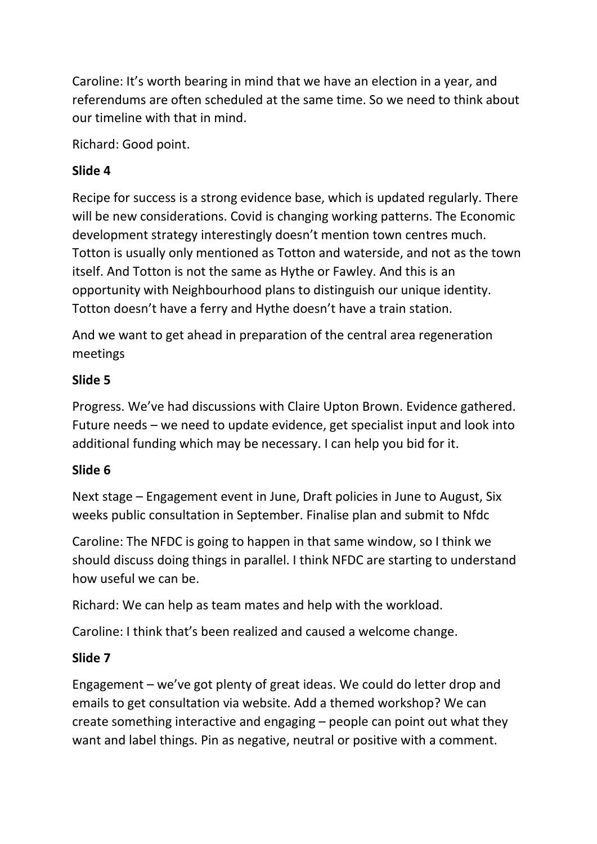Caroline: It's worth bearing in mind that we have an election in a year, and referendums are often scheduled at the same time. So we need to think about our timeline with that in mind.

Richard: Good point.

# **Slide 4**

Recipe for success is a strong evidence base, which is updated regularly. There will be new considerations. Covid is changing working patterns. The Economic development strategy interestingly doesn't mention town centres much. Totton is usually only mentioned as Totton and waterside, and not as the town itself. And Totton is not the same as Hythe or Fawley. And this is an opportunity with Neighbourhood plans to distinguish our unique identity. Totton doesn't have a ferry and Hythe doesn't have a train station.

And we want to get ahead in preparation of the central area regeneration meetings

# **Slide 5**

Progress. We've had discussions with Claire Upton Brown. Evidence gathered. Future needs – we need to update evidence, get specialist input and look into additional funding which may be necessary. I can help you bid for it.

# **Slide 6**

Next stage – Engagement event in June, Draft policies in June to August, Six weeks public consultation in September. Finalise plan and submit to Nfdc

Caroline: The NFDC is going to happen in that same window, so I think we should discuss doing things in parallel. I think NFDC are starting to understand how useful we can be.

Richard: We can help as team mates and help with the workload.

Caroline: I think that's been realized and caused a welcome change.

# **Slide 7**

Engagement – we've got plenty of great ideas. We could do letter drop and emails to get consultation via website. Add a themed workshop? We can create something interactive and engaging – people can point out what they want and label things. Pin as negative, neutral or positive with a comment.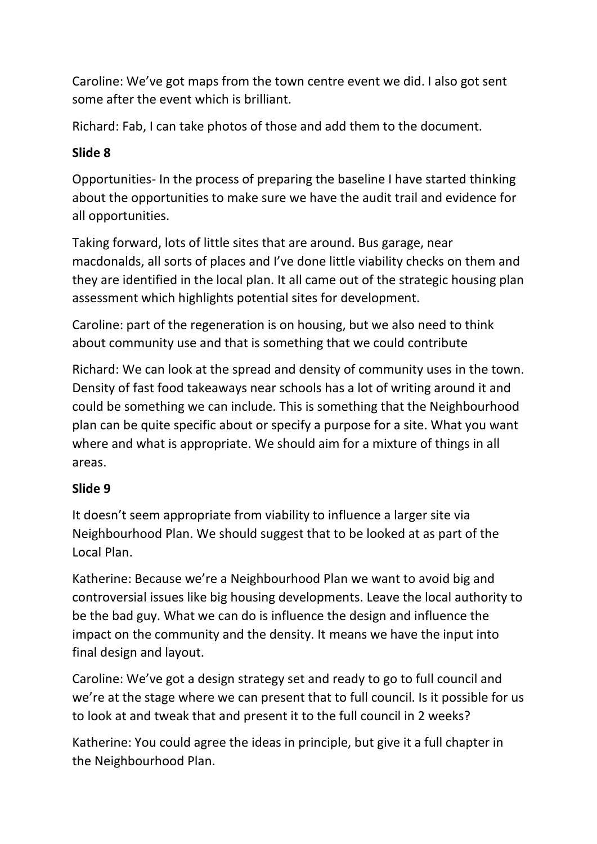Caroline: We've got maps from the town centre event we did. I also got sent some after the event which is brilliant.

Richard: Fab, I can take photos of those and add them to the document.

# **Slide 8**

Opportunities- In the process of preparing the baseline I have started thinking about the opportunities to make sure we have the audit trail and evidence for all opportunities.

Taking forward, lots of little sites that are around. Bus garage, near macdonalds, all sorts of places and I've done little viability checks on them and they are identified in the local plan. It all came out of the strategic housing plan assessment which highlights potential sites for development.

Caroline: part of the regeneration is on housing, but we also need to think about community use and that is something that we could contribute

Richard: We can look at the spread and density of community uses in the town. Density of fast food takeaways near schools has a lot of writing around it and could be something we can include. This is something that the Neighbourhood plan can be quite specific about or specify a purpose for a site. What you want where and what is appropriate. We should aim for a mixture of things in all areas.

# **Slide 9**

It doesn't seem appropriate from viability to influence a larger site via Neighbourhood Plan. We should suggest that to be looked at as part of the Local Plan.

Katherine: Because we're a Neighbourhood Plan we want to avoid big and controversial issues like big housing developments. Leave the local authority to be the bad guy. What we can do is influence the design and influence the impact on the community and the density. It means we have the input into final design and layout.

Caroline: We've got a design strategy set and ready to go to full council and we're at the stage where we can present that to full council. Is it possible for us to look at and tweak that and present it to the full council in 2 weeks?

Katherine: You could agree the ideas in principle, but give it a full chapter in the Neighbourhood Plan.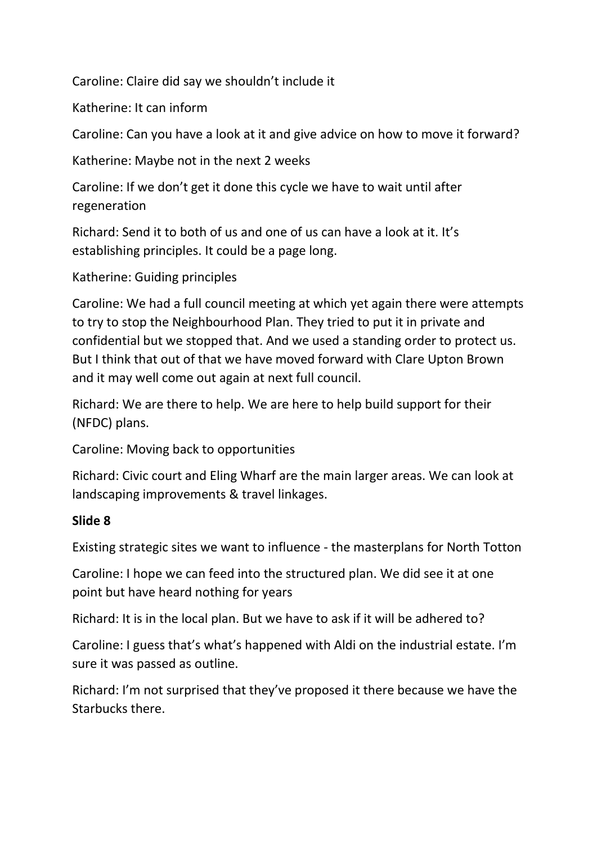Caroline: Claire did say we shouldn't include it

Katherine: It can inform

Caroline: Can you have a look at it and give advice on how to move it forward?

Katherine: Maybe not in the next 2 weeks

Caroline: If we don't get it done this cycle we have to wait until after regeneration

Richard: Send it to both of us and one of us can have a look at it. It's establishing principles. It could be a page long.

Katherine: Guiding principles

Caroline: We had a full council meeting at which yet again there were attempts to try to stop the Neighbourhood Plan. They tried to put it in private and confidential but we stopped that. And we used a standing order to protect us. But I think that out of that we have moved forward with Clare Upton Brown and it may well come out again at next full council.

Richard: We are there to help. We are here to help build support for their (NFDC) plans.

Caroline: Moving back to opportunities

Richard: Civic court and Eling Wharf are the main larger areas. We can look at landscaping improvements & travel linkages.

#### **Slide 8**

Existing strategic sites we want to influence - the masterplans for North Totton

Caroline: I hope we can feed into the structured plan. We did see it at one point but have heard nothing for years

Richard: It is in the local plan. But we have to ask if it will be adhered to?

Caroline: I guess that's what's happened with Aldi on the industrial estate. I'm sure it was passed as outline.

Richard: I'm not surprised that they've proposed it there because we have the Starbucks there.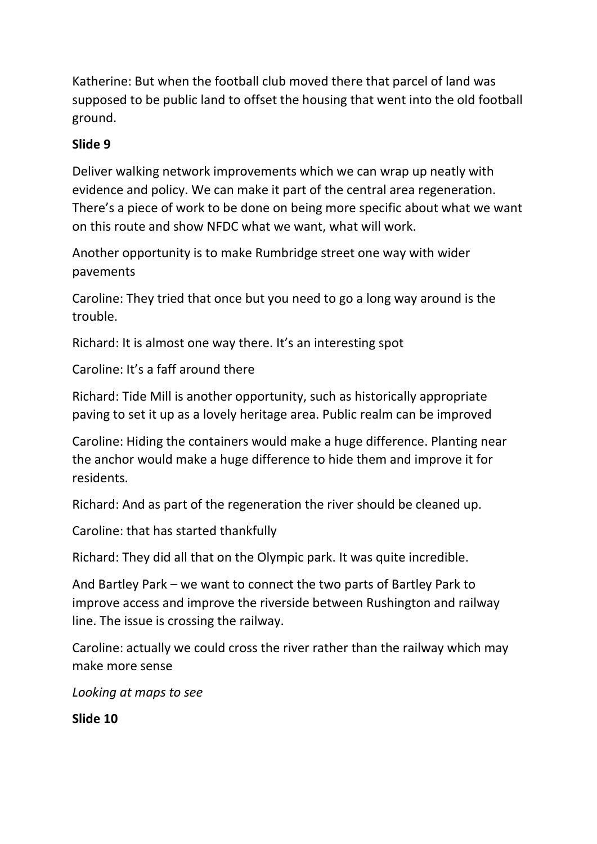Katherine: But when the football club moved there that parcel of land was supposed to be public land to offset the housing that went into the old football ground.

## **Slide 9**

Deliver walking network improvements which we can wrap up neatly with evidence and policy. We can make it part of the central area regeneration. There's a piece of work to be done on being more specific about what we want on this route and show NFDC what we want, what will work.

Another opportunity is to make Rumbridge street one way with wider pavements

Caroline: They tried that once but you need to go a long way around is the trouble.

Richard: It is almost one way there. It's an interesting spot

Caroline: It's a faff around there

Richard: Tide Mill is another opportunity, such as historically appropriate paving to set it up as a lovely heritage area. Public realm can be improved

Caroline: Hiding the containers would make a huge difference. Planting near the anchor would make a huge difference to hide them and improve it for residents.

Richard: And as part of the regeneration the river should be cleaned up.

Caroline: that has started thankfully

Richard: They did all that on the Olympic park. It was quite incredible.

And Bartley Park – we want to connect the two parts of Bartley Park to improve access and improve the riverside between Rushington and railway line. The issue is crossing the railway.

Caroline: actually we could cross the river rather than the railway which may make more sense

*Looking at maps to see*

**Slide 10**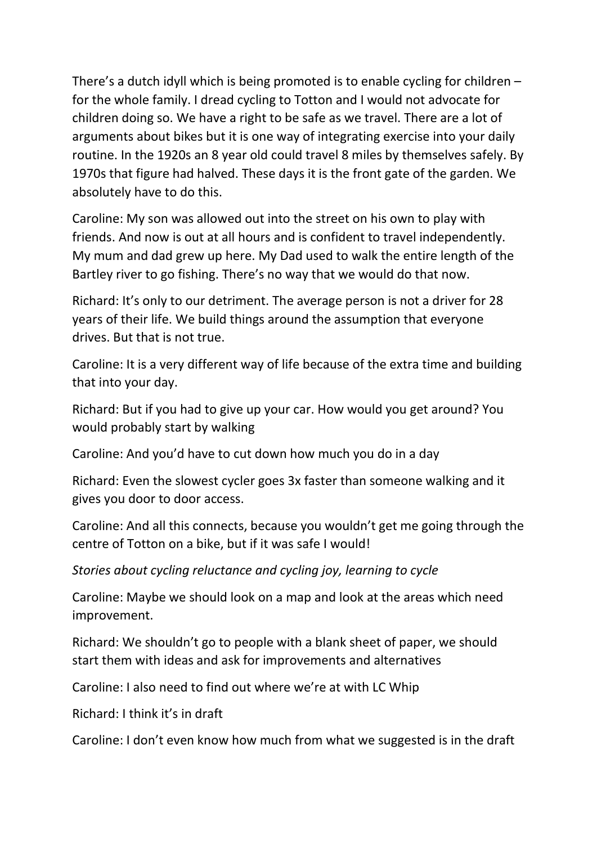There's a dutch idyll which is being promoted is to enable cycling for children – for the whole family. I dread cycling to Totton and I would not advocate for children doing so. We have a right to be safe as we travel. There are a lot of arguments about bikes but it is one way of integrating exercise into your daily routine. In the 1920s an 8 year old could travel 8 miles by themselves safely. By 1970s that figure had halved. These days it is the front gate of the garden. We absolutely have to do this.

Caroline: My son was allowed out into the street on his own to play with friends. And now is out at all hours and is confident to travel independently. My mum and dad grew up here. My Dad used to walk the entire length of the Bartley river to go fishing. There's no way that we would do that now.

Richard: It's only to our detriment. The average person is not a driver for 28 years of their life. We build things around the assumption that everyone drives. But that is not true.

Caroline: It is a very different way of life because of the extra time and building that into your day.

Richard: But if you had to give up your car. How would you get around? You would probably start by walking

Caroline: And you'd have to cut down how much you do in a day

Richard: Even the slowest cycler goes 3x faster than someone walking and it gives you door to door access.

Caroline: And all this connects, because you wouldn't get me going through the centre of Totton on a bike, but if it was safe I would!

*Stories about cycling reluctance and cycling joy, learning to cycle*

Caroline: Maybe we should look on a map and look at the areas which need improvement.

Richard: We shouldn't go to people with a blank sheet of paper, we should start them with ideas and ask for improvements and alternatives

Caroline: I also need to find out where we're at with LC Whip

Richard: I think it's in draft

Caroline: I don't even know how much from what we suggested is in the draft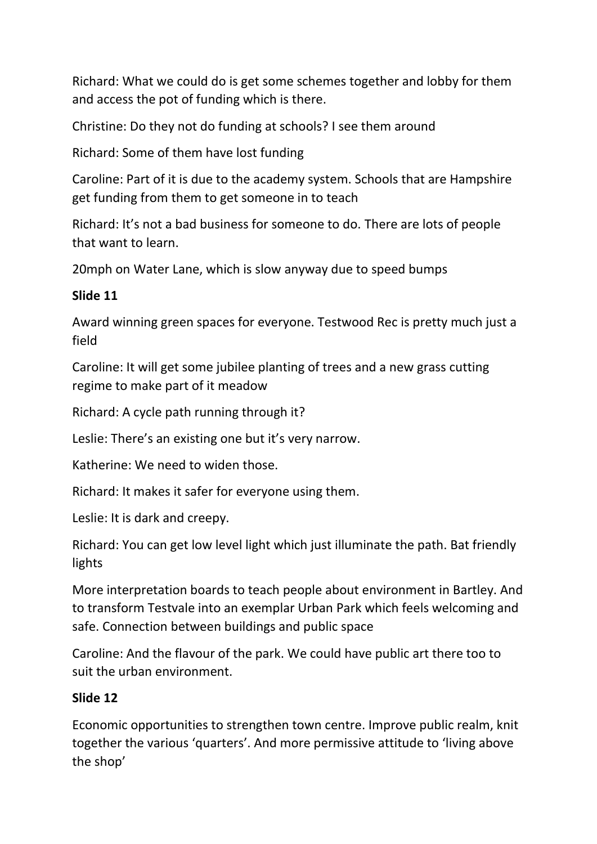Richard: What we could do is get some schemes together and lobby for them and access the pot of funding which is there.

Christine: Do they not do funding at schools? I see them around

Richard: Some of them have lost funding

Caroline: Part of it is due to the academy system. Schools that are Hampshire get funding from them to get someone in to teach

Richard: It's not a bad business for someone to do. There are lots of people that want to learn.

20mph on Water Lane, which is slow anyway due to speed bumps

### **Slide 11**

Award winning green spaces for everyone. Testwood Rec is pretty much just a field

Caroline: It will get some jubilee planting of trees and a new grass cutting regime to make part of it meadow

Richard: A cycle path running through it?

Leslie: There's an existing one but it's very narrow.

Katherine: We need to widen those.

Richard: It makes it safer for everyone using them.

Leslie: It is dark and creepy.

Richard: You can get low level light which just illuminate the path. Bat friendly lights

More interpretation boards to teach people about environment in Bartley. And to transform Testvale into an exemplar Urban Park which feels welcoming and safe. Connection between buildings and public space

Caroline: And the flavour of the park. We could have public art there too to suit the urban environment.

### **Slide 12**

Economic opportunities to strengthen town centre. Improve public realm, knit together the various 'quarters'. And more permissive attitude to 'living above the shop'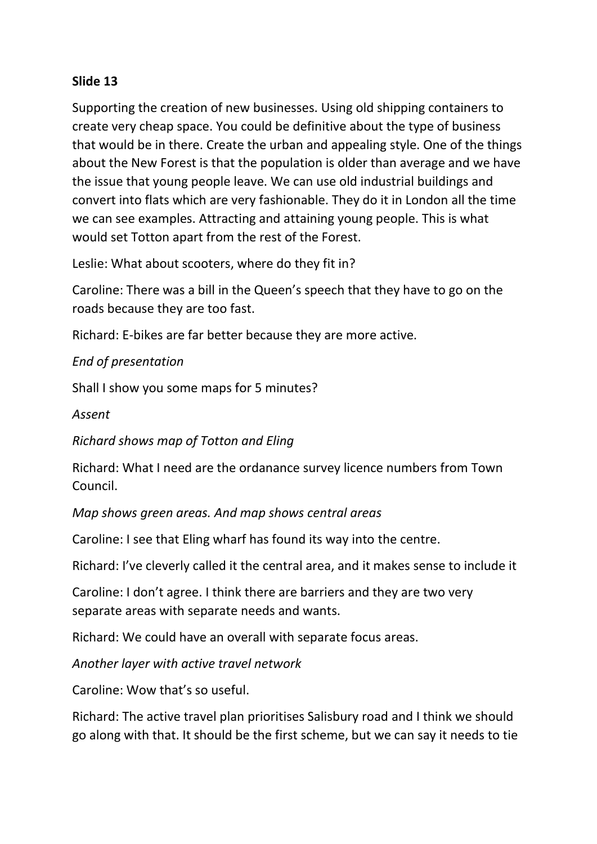### **Slide 13**

Supporting the creation of new businesses. Using old shipping containers to create very cheap space. You could be definitive about the type of business that would be in there. Create the urban and appealing style. One of the things about the New Forest is that the population is older than average and we have the issue that young people leave. We can use old industrial buildings and convert into flats which are very fashionable. They do it in London all the time we can see examples. Attracting and attaining young people. This is what would set Totton apart from the rest of the Forest.

Leslie: What about scooters, where do they fit in?

Caroline: There was a bill in the Queen's speech that they have to go on the roads because they are too fast.

Richard: E-bikes are far better because they are more active.

#### *End of presentation*

Shall I show you some maps for 5 minutes?

*Assent*

*Richard shows map of Totton and Eling*

Richard: What I need are the ordanance survey licence numbers from Town Council.

*Map shows green areas. And map shows central areas*

Caroline: I see that Eling wharf has found its way into the centre.

Richard: I've cleverly called it the central area, and it makes sense to include it

Caroline: I don't agree. I think there are barriers and they are two very separate areas with separate needs and wants.

Richard: We could have an overall with separate focus areas.

*Another layer with active travel network*

Caroline: Wow that's so useful.

Richard: The active travel plan prioritises Salisbury road and I think we should go along with that. It should be the first scheme, but we can say it needs to tie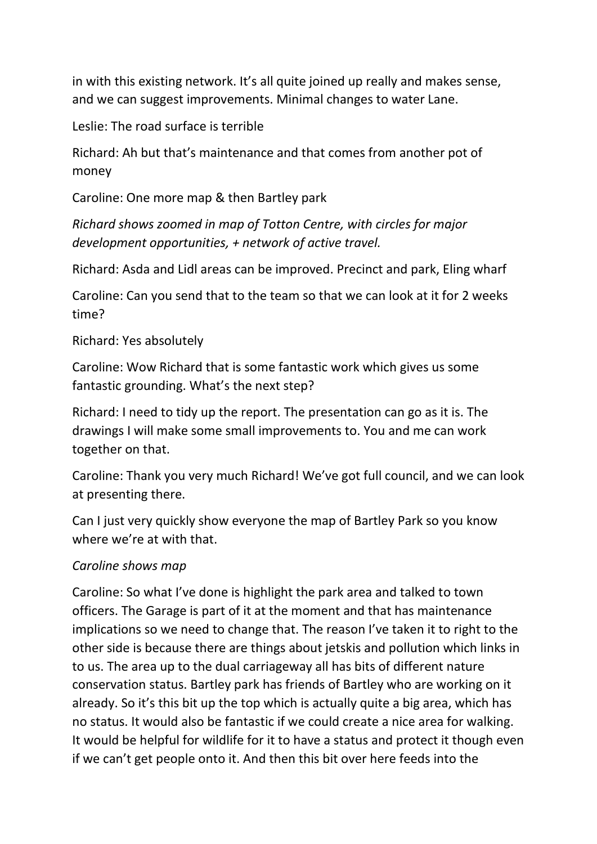in with this existing network. It's all quite joined up really and makes sense, and we can suggest improvements. Minimal changes to water Lane.

Leslie: The road surface is terrible

Richard: Ah but that's maintenance and that comes from another pot of money

Caroline: One more map & then Bartley park

*Richard shows zoomed in map of Totton Centre, with circles for major development opportunities, + network of active travel.* 

Richard: Asda and Lidl areas can be improved. Precinct and park, Eling wharf

Caroline: Can you send that to the team so that we can look at it for 2 weeks time?

Richard: Yes absolutely

Caroline: Wow Richard that is some fantastic work which gives us some fantastic grounding. What's the next step?

Richard: I need to tidy up the report. The presentation can go as it is. The drawings I will make some small improvements to. You and me can work together on that.

Caroline: Thank you very much Richard! We've got full council, and we can look at presenting there.

Can I just very quickly show everyone the map of Bartley Park so you know where we're at with that.

#### *Caroline shows map*

Caroline: So what I've done is highlight the park area and talked to town officers. The Garage is part of it at the moment and that has maintenance implications so we need to change that. The reason I've taken it to right to the other side is because there are things about jetskis and pollution which links in to us. The area up to the dual carriageway all has bits of different nature conservation status. Bartley park has friends of Bartley who are working on it already. So it's this bit up the top which is actually quite a big area, which has no status. It would also be fantastic if we could create a nice area for walking. It would be helpful for wildlife for it to have a status and protect it though even if we can't get people onto it. And then this bit over here feeds into the